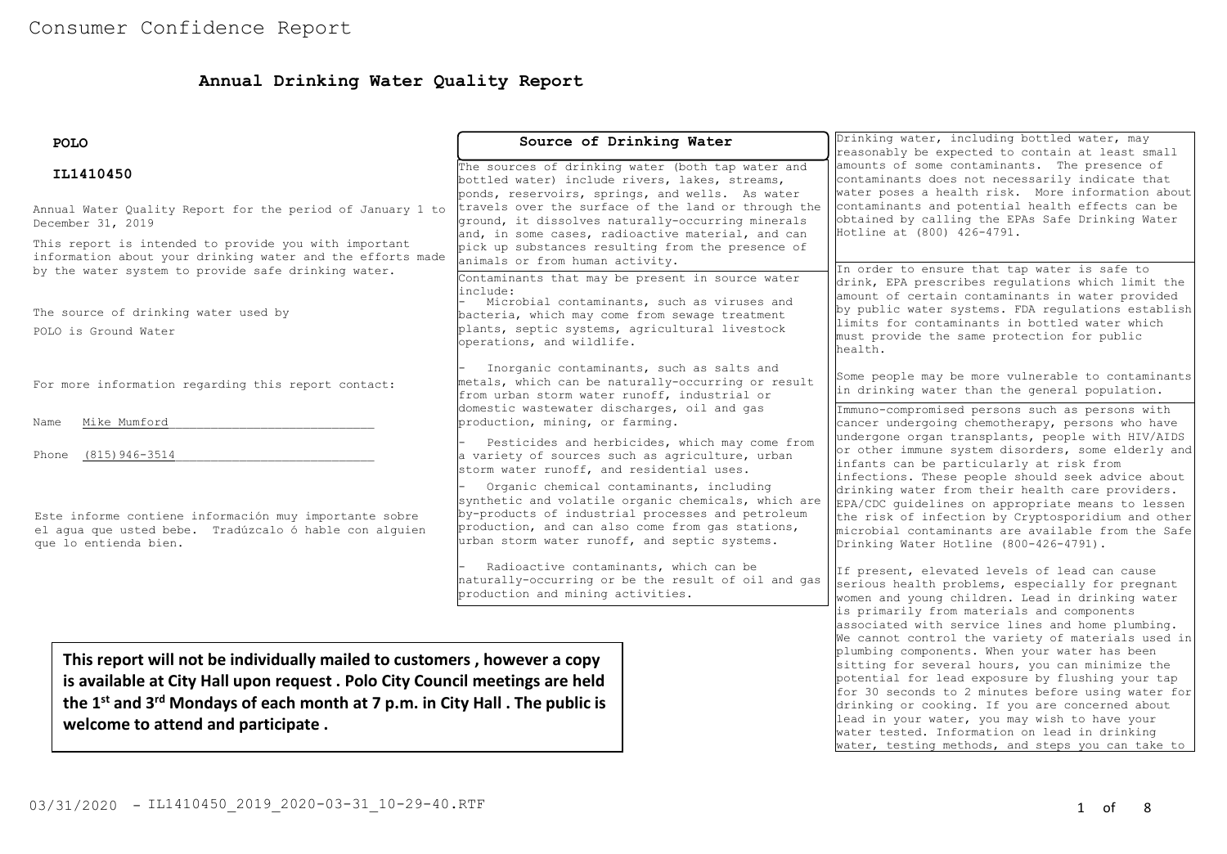# **Annual Drinking Water Quality Report**

| <b>POLO</b>                                                                                                                                                                                                                                                                                           | Source of Drinking Water                                                                                                                                                                                                                                                                                                                                        | Drinking water, including bottled water, may<br>reasonably be expected to contain at least small                                                                                                                                                                                                                                                                                                                                                                                                                                                                                                                       |  |  |
|-------------------------------------------------------------------------------------------------------------------------------------------------------------------------------------------------------------------------------------------------------------------------------------------------------|-----------------------------------------------------------------------------------------------------------------------------------------------------------------------------------------------------------------------------------------------------------------------------------------------------------------------------------------------------------------|------------------------------------------------------------------------------------------------------------------------------------------------------------------------------------------------------------------------------------------------------------------------------------------------------------------------------------------------------------------------------------------------------------------------------------------------------------------------------------------------------------------------------------------------------------------------------------------------------------------------|--|--|
| IL1410450<br>Annual Water Quality Report for the period of January 1 to                                                                                                                                                                                                                               | The sources of drinking water (both tap water and<br>bottled water) include rivers, lakes, streams,<br>ponds, reservoirs, springs, and wells. As water<br>travels over the surface of the land or through the                                                                                                                                                   | amounts of some contaminants. The presence of<br>contaminants does not necessarily indicate that<br>water poses a health risk. More information about<br>contaminants and potential health effects can be<br>obtained by calling the EPAs Safe Drinking Water<br>Hotline at (800) 426-4791.<br>In order to ensure that tap water is safe to<br>drink, EPA prescribes regulations which limit the<br>amount of certain contaminants in water provided<br>by public water systems. FDA requlations establish<br>limits for contaminants in bottled water which<br>must provide the same protection for public<br>health. |  |  |
| December 31, 2019<br>This report is intended to provide you with important<br>information about your drinking water and the efforts made<br>by the water system to provide safe drinking water.                                                                                                       | ground, it dissolves naturally-occurring minerals<br>and, in some cases, radioactive material, and can<br>pick up substances resulting from the presence of<br>animals or from human activity.                                                                                                                                                                  |                                                                                                                                                                                                                                                                                                                                                                                                                                                                                                                                                                                                                        |  |  |
| The source of drinking water used by<br>POLO is Ground Water                                                                                                                                                                                                                                          | Contaminants that may be present in source water<br>include:<br>Microbial contaminants, such as viruses and<br>bacteria, which may come from sewage treatment<br>plants, septic systems, agricultural livestock<br>operations, and wildlife.                                                                                                                    |                                                                                                                                                                                                                                                                                                                                                                                                                                                                                                                                                                                                                        |  |  |
| For more information regarding this report contact:                                                                                                                                                                                                                                                   | Inorganic contaminants, such as salts and<br>metals, which can be naturally-occurring or result<br>from urban storm water runoff, industrial or<br>domestic wastewater discharges, oil and gas                                                                                                                                                                  | Some people may be more vulnerable to contaminants<br>in drinking water than the general population.<br>Immuno-compromised persons such as persons with<br>cancer undergoing chemotherapy, persons who have<br>undergone organ transplants, people with HIV/AIDS<br>or other immune system disorders, some elderly and<br>infants can be particularly at risk from<br>infections. These people should seek advice about                                                                                                                                                                                                |  |  |
| Mike Mumford<br>Name                                                                                                                                                                                                                                                                                  | production, mining, or farming.                                                                                                                                                                                                                                                                                                                                 |                                                                                                                                                                                                                                                                                                                                                                                                                                                                                                                                                                                                                        |  |  |
| $(815)$ 946-3514<br>Phone                                                                                                                                                                                                                                                                             | Pesticides and herbicides, which may come from<br>a variety of sources such as agriculture, urban<br>storm water runoff, and residential uses.                                                                                                                                                                                                                  |                                                                                                                                                                                                                                                                                                                                                                                                                                                                                                                                                                                                                        |  |  |
| Este informe contiene información muy importante sobre<br>el aqua que usted bebe. Tradúzcalo ó hable con alquien<br>que lo entienda bien.                                                                                                                                                             | Organic chemical contaminants, including<br>synthetic and volatile organic chemicals, which are<br>by-products of industrial processes and petroleum<br>production, and can also come from gas stations,<br>urban storm water runoff, and septic systems.                                                                                                       | drinking water from their health care providers.<br>EPA/CDC quidelines on appropriate means to lessen<br>the risk of infection by Cryptosporidium and other<br>microbial contaminants are available from the Safe<br>Drinking Water Hotline (800-426-4791).                                                                                                                                                                                                                                                                                                                                                            |  |  |
|                                                                                                                                                                                                                                                                                                       | Radioactive contaminants, which can be<br>naturally-occurring or be the result of oil and gas<br>production and mining activities.                                                                                                                                                                                                                              | If present, elevated levels of lead can cause<br>serious health problems, especially for pregnant<br>women and young children. Lead in drinking water                                                                                                                                                                                                                                                                                                                                                                                                                                                                  |  |  |
|                                                                                                                                                                                                                                                                                                       |                                                                                                                                                                                                                                                                                                                                                                 | is primarily from materials and components<br>associated with service lines and home plumbing.<br>We cannot control the variety of materials used in                                                                                                                                                                                                                                                                                                                                                                                                                                                                   |  |  |
| This report will not be individually mailed to customers, however a copy<br>is available at City Hall upon request. Polo City Council meetings are held<br>the 1 <sup>st</sup> and 3 <sup>rd</sup> Mondays of each month at 7 p.m. in City Hall . The public is<br>welcome to attend and participate. | plumbing components. When your water has been<br>sitting for several hours, you can minimize the<br>potential for lead exposure by flushing your tap<br>for 30 seconds to 2 minutes before using water for<br>drinking or cooking. If you are concerned about<br>lead in your water, you may wish to have your<br>water tested. Information on lead in drinking |                                                                                                                                                                                                                                                                                                                                                                                                                                                                                                                                                                                                                        |  |  |

water, testing methods, and steps you can take to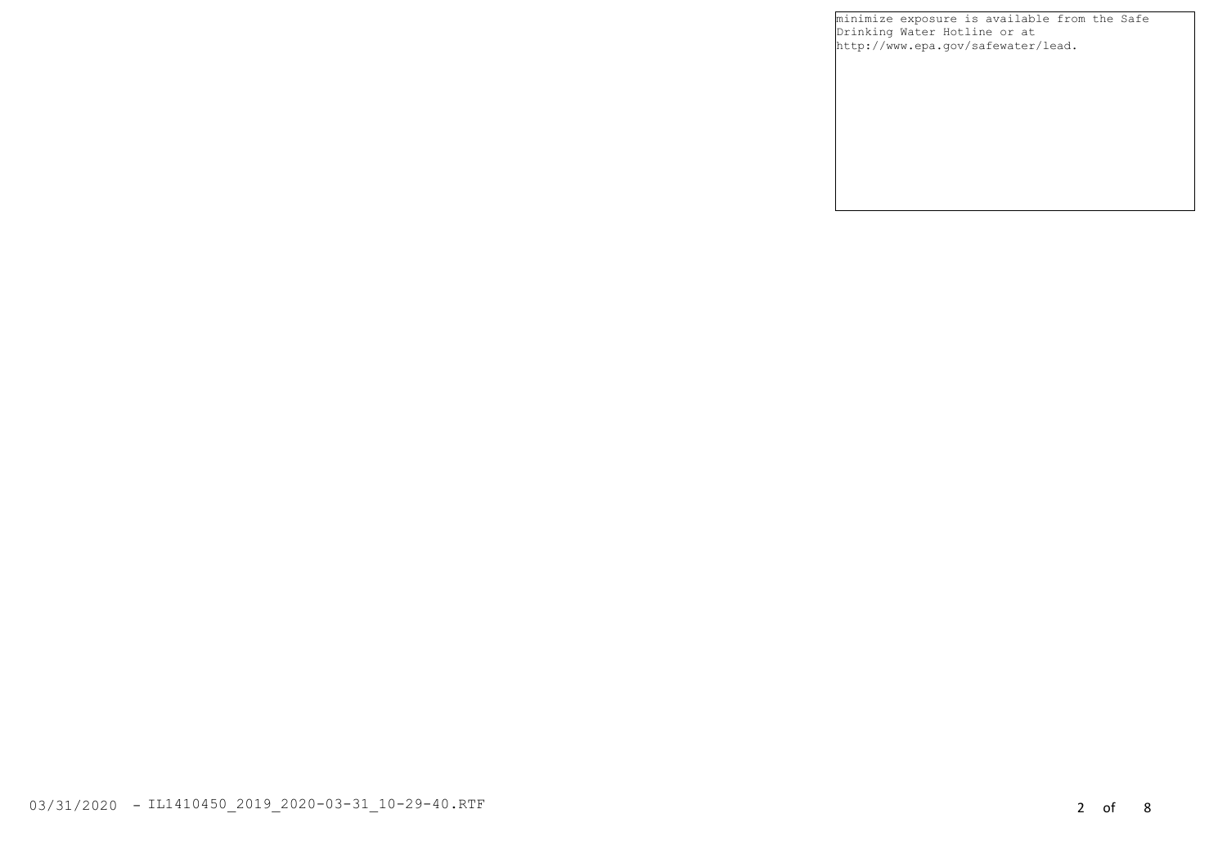minimize exposure is available from the Safe Drinking Water Hotline or at http://www.epa.gov/safewater/lead.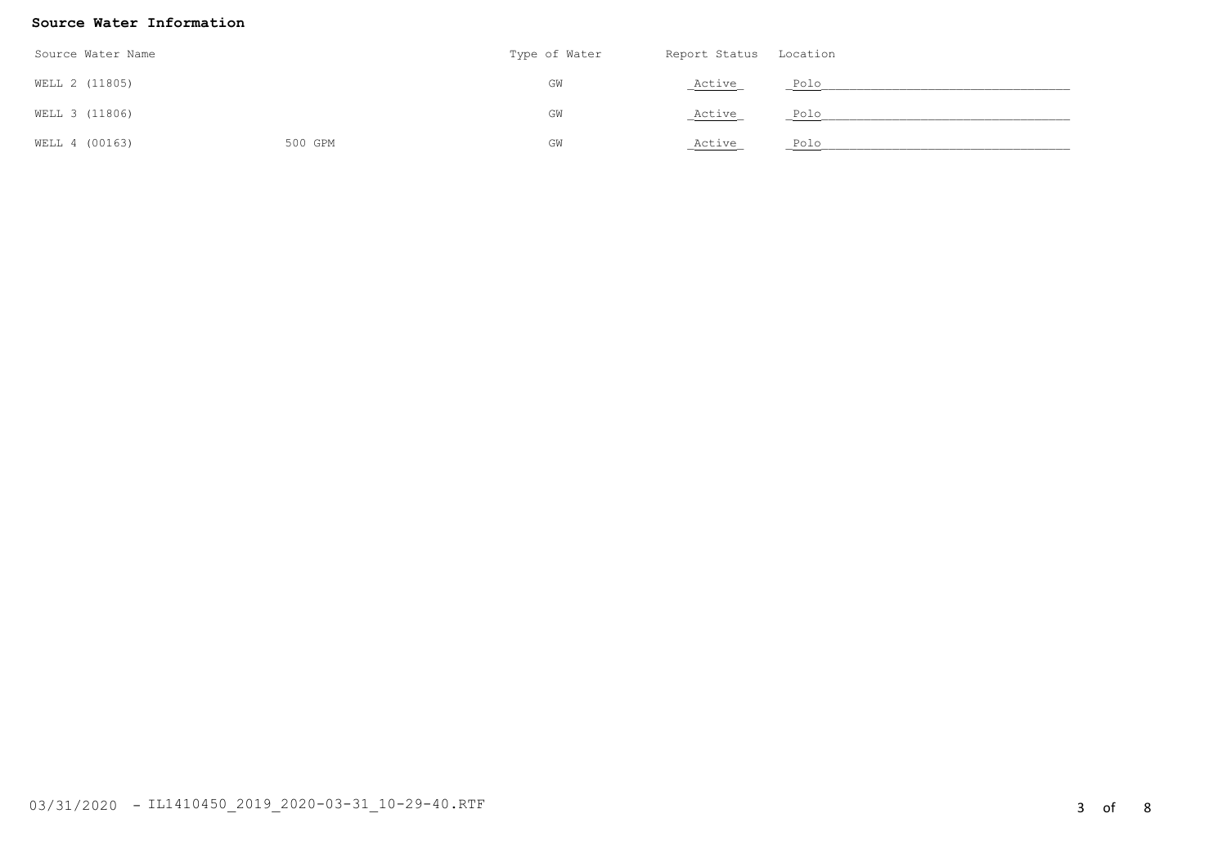### **Source Water Information**

| Source Water Name |         | Type of Water | Report Status Location |      |
|-------------------|---------|---------------|------------------------|------|
| WELL 2 (11805)    |         | GW            | Active                 | Polo |
| WELL 3 (11806)    |         | GW            | Active                 | Polo |
| WELL 4 (00163)    | 500 GPM | GW            | Active                 | Polo |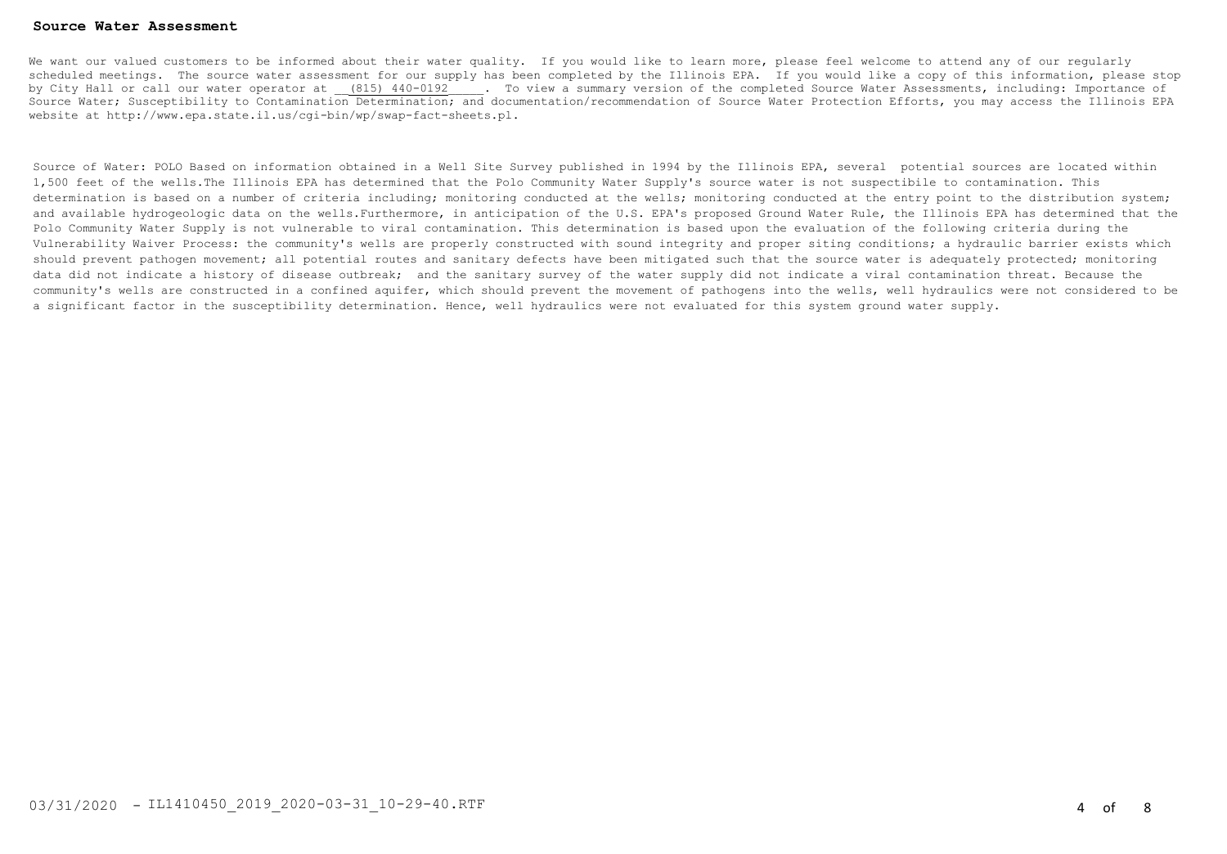#### **Source Water Assessment**

We want our valued customers to be informed about their water quality. If you would like to learn more, please feel welcome to attend any of our regularly scheduled meetings. The source water assessment for our supply has been completed by the Illinois EPA. If you would like a copy of this information, please stop by City Hall or call our water operator at (815) 440-0192 . To view a summary version of the completed Source Water Assessments, including: Importance of Source Water; Susceptibility to Contamination Determination; and documentation/recommendation of Source Water Protection Efforts, you may access the Illinois EPA website at http://www.epa.state.il.us/cgi-bin/wp/swap-fact-sheets.pl.

Source of Water: POLO Based on information obtained in a Well Site Survey published in 1994 by the Illinois EPA, several potential sources are located within 1,500 feet of the wells.The Illinois EPA has determined that the Polo Community Water Supply's source water is not suspectibile to contamination. This determination is based on a number of criteria including; monitoring conducted at the wells; monitoring conducted at the entry point to the distribution system; and available hydrogeologic data on the wells.Furthermore, in anticipation of the U.S. EPA's proposed Ground Water Rule, the Illinois EPA has determined that the Polo Community Water Supply is not vulnerable to viral contamination. This determination is based upon the evaluation of the following criteria during the Vulnerability Waiver Process: the community's wells are properly constructed with sound integrity and proper siting conditions; a hydraulic barrier exists which should prevent pathogen movement; all potential routes and sanitary defects have been mitigated such that the source water is adequately protected; monitoring data did not indicate a history of disease outbreak; and the sanitary survey of the water supply did not indicate a viral contamination threat. Because the community's wells are constructed in a confined aquifer, which should prevent the movement of pathogens into the wells, well hydraulics were not considered to be a significant factor in the susceptibility determination. Hence, well hydraulics were not evaluated for this system ground water supply.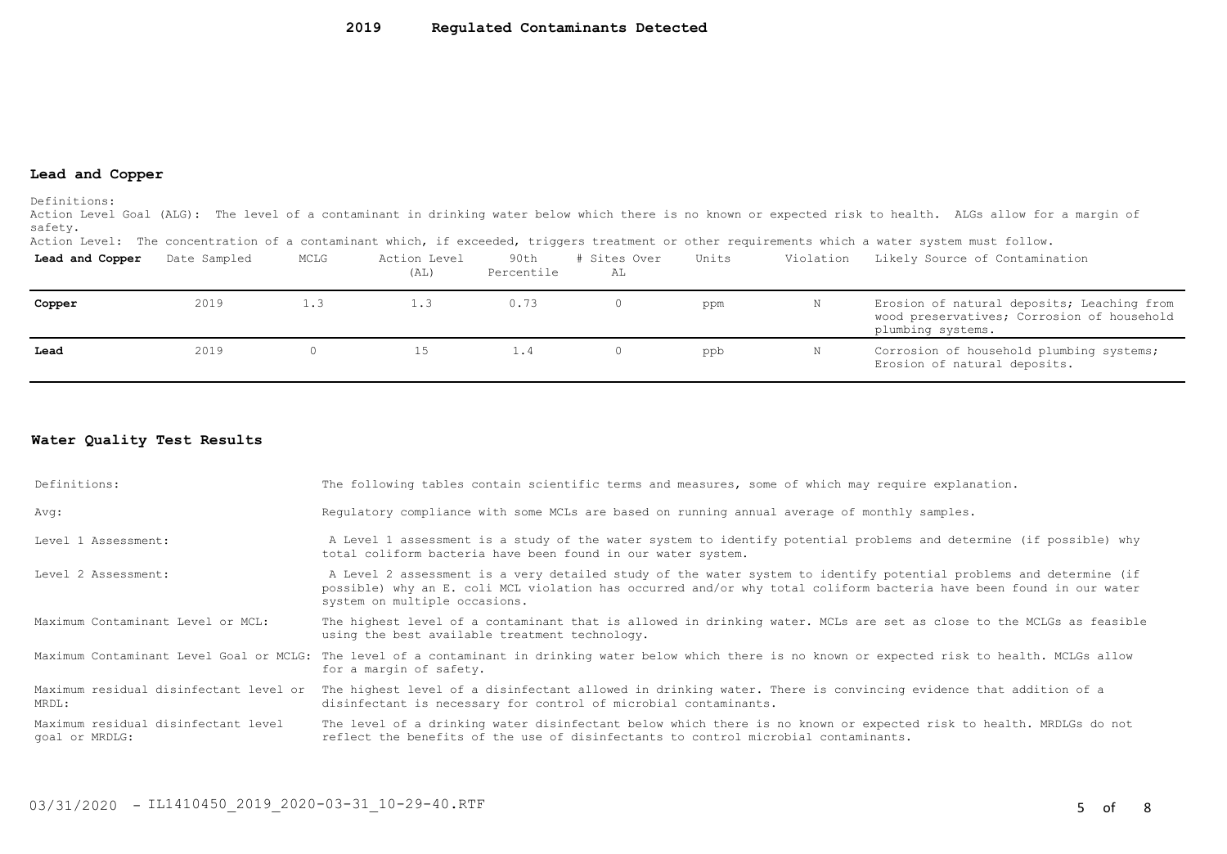#### **Lead and Copper**

Definitions:

Action Level Goal (ALG): The level of a contaminant in drinking water below which there is no known or expected risk to health. ALGs allow for a margin of safety.

Action Level: The concentration of a contaminant which, if exceeded, triggers treatment or other requirements which a water system must follow.

| Lead and Copper | Date Sampled | MCLG | Action Level<br>(AL) | 90th<br>Percentile | # Sites Over<br>AL | Units | Violation | Likely Source of Contamination                                                                                |
|-----------------|--------------|------|----------------------|--------------------|--------------------|-------|-----------|---------------------------------------------------------------------------------------------------------------|
| Copper          | 2019         | 1.3  | 1.3                  | 0.73               | ()                 | ppm   |           | Erosion of natural deposits; Leaching from<br>wood preservatives; Corrosion of household<br>plumbing systems. |
| Lead            | 2019         |      | 15.                  | 1.4                | ()                 | ppb   |           | Corrosion of household plumbing systems;<br>Erosion of natural deposits.                                      |

## **Water Quality Test Results**

| Definitions:                                          | The following tables contain scientific terms and measures, some of which may require explanation.                                                                                                                                                                         |
|-------------------------------------------------------|----------------------------------------------------------------------------------------------------------------------------------------------------------------------------------------------------------------------------------------------------------------------------|
| Avq:                                                  | Requlatory compliance with some MCLs are based on running annual average of monthly samples.                                                                                                                                                                               |
| Level 1 Assessment:                                   | A Level 1 assessment is a study of the water system to identify potential problems and determine (if possible) why<br>total coliform bacteria have been found in our water system.                                                                                         |
| Level 2 Assessment:                                   | A Level 2 assessment is a very detailed study of the water system to identify potential problems and determine (if<br>possible) why an E. coli MCL violation has occurred and/or why total coliform bacteria have been found in our water<br>system on multiple occasions. |
| Maximum Contaminant Level or MCL:                     | The highest level of a contaminant that is allowed in drinking water. MCLs are set as close to the MCLGs as feasible<br>using the best available treatment technology.                                                                                                     |
|                                                       | Maximum Contaminant Level Goal or MCLG: The level of a contaminant in drinking water below which there is no known or expected risk to health. MCLGs allow<br>for a margin of safety.                                                                                      |
| MRDL:                                                 | Maximum residual disinfectant level or The highest level of a disinfectant allowed in drinking water. There is convincing evidence that addition of a<br>disinfectant is necessary for control of microbial contaminants.                                                  |
| Maximum residual disinfectant level<br>goal or MRDLG: | The level of a drinking water disinfectant below which there is no known or expected risk to health. MRDLGs do not<br>reflect the benefits of the use of disinfectants to control microbial contaminants.                                                                  |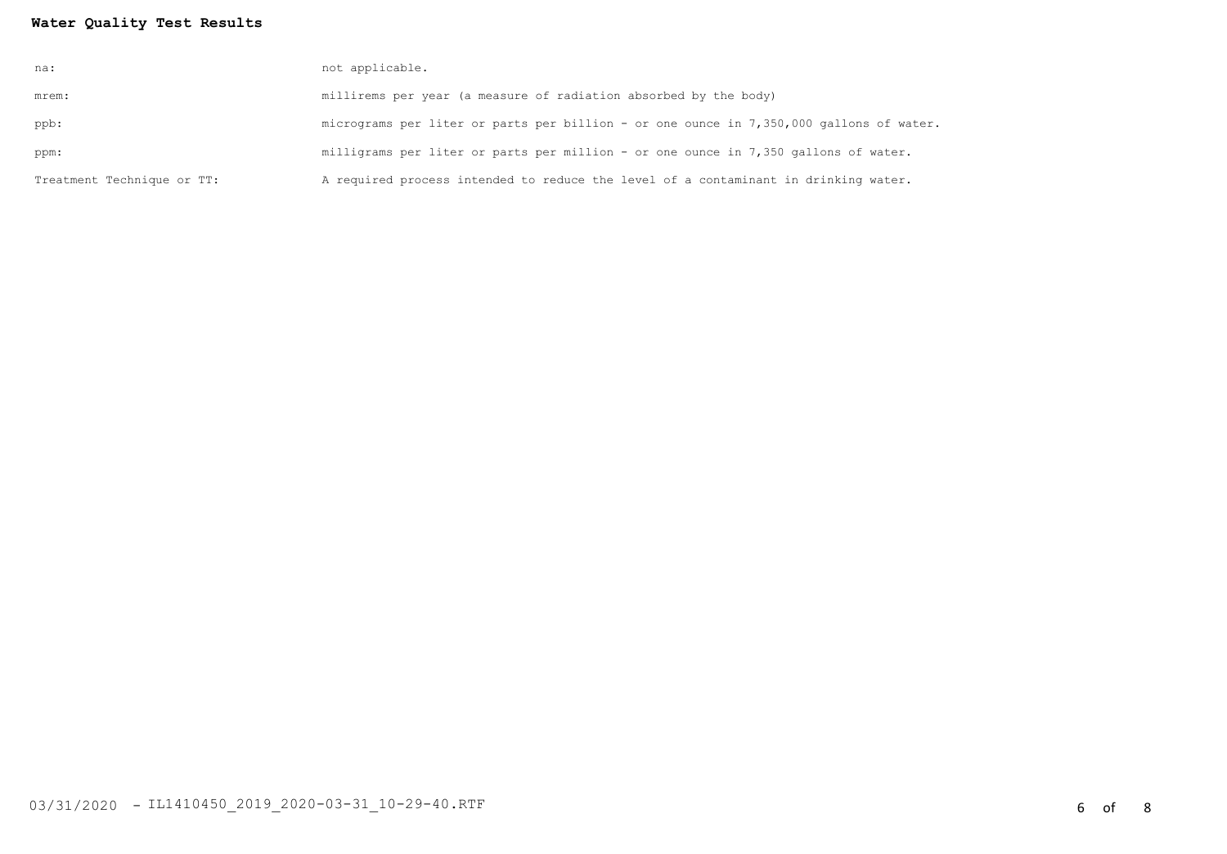# **Water Quality Test Results**

| na:                        | not applicable.                                                                         |
|----------------------------|-----------------------------------------------------------------------------------------|
| mrem:                      | millirems per year (a measure of radiation absorbed by the body)                        |
| ppb:                       | micrograms per liter or parts per billion - or one ounce in 7,350,000 gallons of water. |
| ppm:                       | milligrams per liter or parts per million - or one ounce in 7,350 gallons of water.     |
| Treatment Technique or TT: | A required process intended to reduce the level of a contaminant in drinking water.     |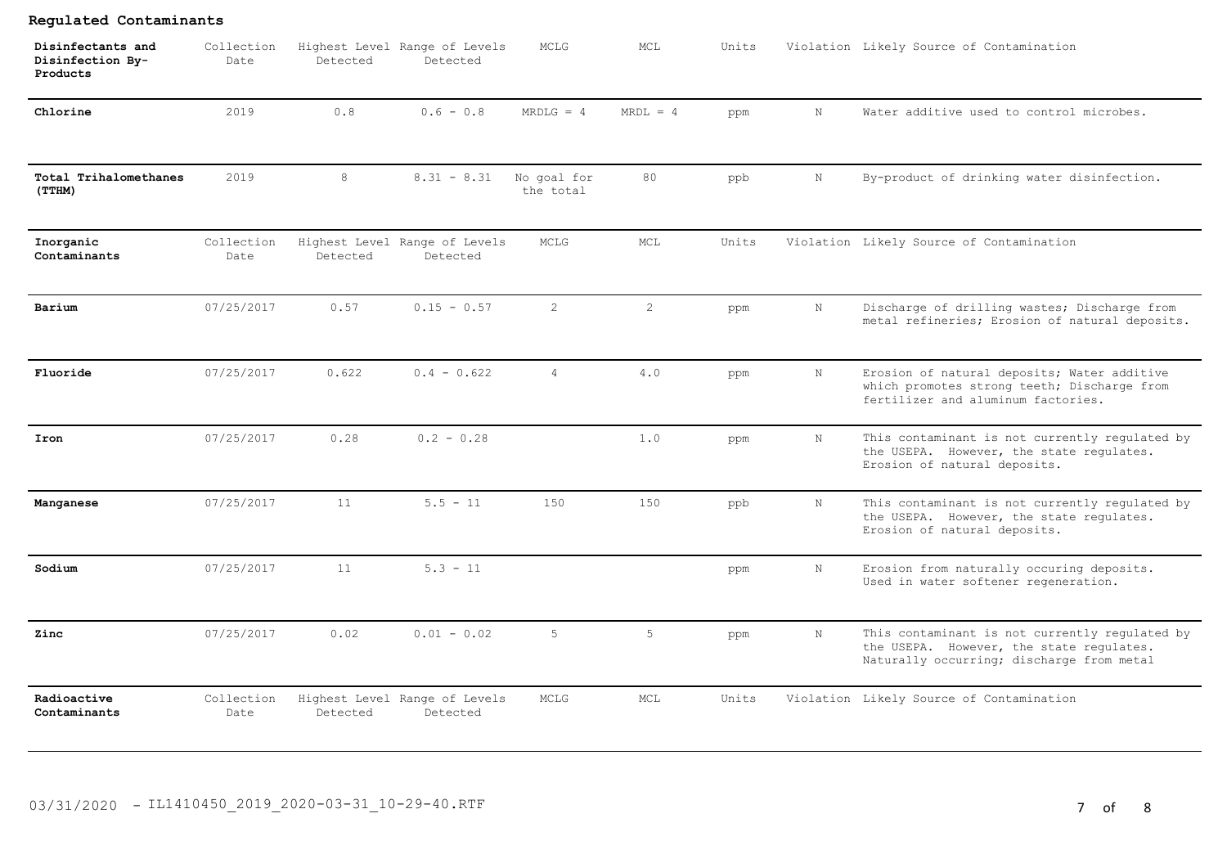| Disinfectants and<br>Disinfection By-<br>Products | Collection<br>Date | Detected | Highest Level Range of Levels<br>Detected | MCLG                     | MCL                   | Units |             | Violation Likely Source of Contamination                                                                                                |
|---------------------------------------------------|--------------------|----------|-------------------------------------------|--------------------------|-----------------------|-------|-------------|-----------------------------------------------------------------------------------------------------------------------------------------|
| Chlorine                                          | 2019               | 0.8      | $0.6 - 0.8$                               | $MRDLG = 4$              | $MRDL = 4$            | ppm   | $\mathbf N$ | Water additive used to control microbes.                                                                                                |
| Total Trihalomethanes<br>(TTHM)                   | 2019               | 8        | $8.31 - 8.31$                             | No goal for<br>the total | 80                    | ppb   | $\mathbf N$ | By-product of drinking water disinfection.                                                                                              |
| Inorganic<br>Contaminants                         | Collection<br>Date | Detected | Highest Level Range of Levels<br>Detected | MCLG                     | MCL                   | Units |             | Violation Likely Source of Contamination                                                                                                |
| Barium                                            | 07/25/2017         | 0.57     | $0.15 - 0.57$                             | 2                        | $\mathbf{2}^{\prime}$ | ppm   | N           | Discharge of drilling wastes; Discharge from<br>metal refineries; Erosion of natural deposits.                                          |
| Fluoride                                          | 07/25/2017         | 0.622    | $0.4 - 0.622$                             | $\overline{4}$           | 4.0                   | ppm   | $_{\rm N}$  | Erosion of natural deposits; Water additive<br>which promotes strong teeth; Discharge from<br>fertilizer and aluminum factories.        |
| Iron                                              | 07/25/2017         | 0.28     | $0.2 - 0.28$                              |                          | 1.0                   | ppm   | $_{\rm N}$  | This contaminant is not currently regulated by<br>the USEPA. However, the state regulates.<br>Erosion of natural deposits.              |
| Manganese                                         | 07/25/2017         | 11       | $5.5 - 11$                                | 150                      | 150                   | ppb   | $_{\rm N}$  | This contaminant is not currently regulated by<br>the USEPA. However, the state regulates.<br>Erosion of natural deposits.              |
| Sodium                                            | 07/25/2017         | 11       | $5.3 - 11$                                |                          |                       | ppm   | N           | Erosion from naturally occuring deposits.<br>Used in water softener regeneration.                                                       |
| Zinc                                              | 07/25/2017         | 0.02     | $0.01 - 0.02$                             | 5                        | 5                     | ppm   | $_{\rm N}$  | This contaminant is not currently regulated by<br>the USEPA. However, the state regulates.<br>Naturally occurring; discharge from metal |
| Radioactive<br>Contaminants                       | Collection<br>Date | Detected | Highest Level Range of Levels<br>Detected | MCLG                     | MCL                   | Units |             | Violation Likely Source of Contamination                                                                                                |

# 03/31/2020 - IL1410450\_2019\_2020-03-31\_10-29-40.RTF 7 cf 8

**Regulated Contaminants**